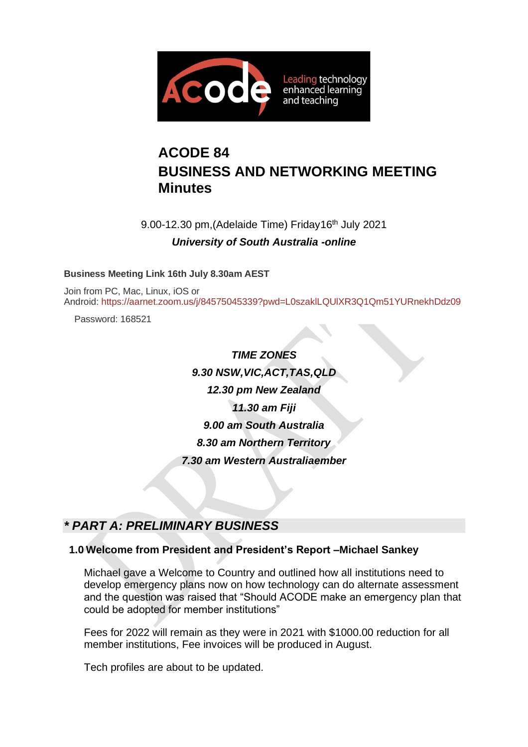

# **ACODE 84 BUSINESS AND NETWORKING MEETING Minutes**

9.00-12.30 pm, (Adelaide Time) Friday 16<sup>th</sup> July 2021 *University of South Australia -online*

**Business Meeting Link 16th July 8.30am AEST**

Join from PC, Mac, Linux, iOS or Android: <https://aarnet.zoom.us/j/84575045339?pwd=L0szaklLQUlXR3Q1Qm51YURnekhDdz09>

Password: 168521

*TIME ZONES 9.30 NSW,VIC,ACT,TAS,QLD 12.30 pm New Zealand 11.30 am Fiji 9.00 am South Australia 8.30 am Northern Territory 7.30 am Western Australiaember*

# *\* PART A: PRELIMINARY BUSINESS*

### **1.0 Welcome from President and President's Report –Michael Sankey**

Michael gave a Welcome to Country and outlined how all institutions need to develop emergency plans now on how technology can do alternate assessment and the question was raised that "Should ACODE make an emergency plan that could be adopted for member institutions"

Fees for 2022 will remain as they were in 2021 with \$1000.00 reduction for all member institutions, Fee invoices will be produced in August.

Tech profiles are about to be updated.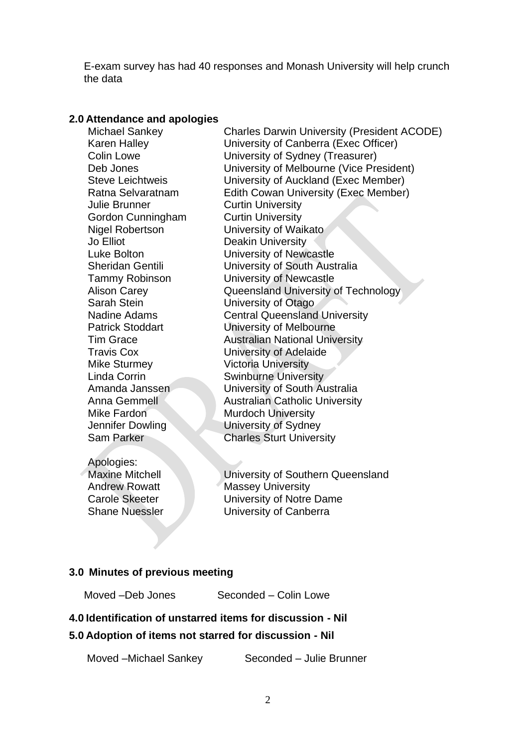E-exam survey has had 40 responses and Monash University will help crunch the data

#### **2.0 Attendance and apologies**

| Michael Sankey<br><b>Karen Halley</b><br><b>Colin Lowe</b><br>Deb Jones<br><b>Steve Leichtweis</b><br>Ratna Selvaratnam<br><b>Julie Brunner</b><br>Gordon Cunningham<br><b>Nigel Robertson</b><br>Jo Elliot<br>Luke Bolton<br><b>Sheridan Gentili</b><br><b>Tammy Robinson</b><br><b>Alison Carey</b><br>Sarah Stein<br>Nadine Adams<br><b>Patrick Stoddart</b><br><b>Tim Grace</b><br><b>Travis Cox</b><br><b>Mike Sturmey</b><br><b>Linda Corrin</b><br>Amanda Janssen<br>Anna Gemmell<br>Mike Fardon<br>Jennifer Dowling | <b>Charles Darwin University (President ACODE)</b><br>University of Canberra (Exec Officer)<br>University of Sydney (Treasurer)<br>University of Melbourne (Vice President)<br>University of Auckland (Exec Member)<br>Edith Cowan University (Exec Member)<br><b>Curtin University</b><br><b>Curtin University</b><br>University of Waikato<br><b>Deakin University</b><br>University of Newcastle<br>University of South Australia<br>University of Newcastle<br>Queensland University of Technology<br>University of Otago<br><b>Central Queensland University</b><br>University of Melbourne<br><b>Australian National University</b><br>University of Adelaide<br><b>Victoria University</b><br><b>Swinburne University</b><br>University of South Australia<br><b>Australian Catholic University</b><br><b>Murdoch University</b><br>University of Sydney |
|-----------------------------------------------------------------------------------------------------------------------------------------------------------------------------------------------------------------------------------------------------------------------------------------------------------------------------------------------------------------------------------------------------------------------------------------------------------------------------------------------------------------------------|-----------------------------------------------------------------------------------------------------------------------------------------------------------------------------------------------------------------------------------------------------------------------------------------------------------------------------------------------------------------------------------------------------------------------------------------------------------------------------------------------------------------------------------------------------------------------------------------------------------------------------------------------------------------------------------------------------------------------------------------------------------------------------------------------------------------------------------------------------------------|
|                                                                                                                                                                                                                                                                                                                                                                                                                                                                                                                             |                                                                                                                                                                                                                                                                                                                                                                                                                                                                                                                                                                                                                                                                                                                                                                                                                                                                 |
|                                                                                                                                                                                                                                                                                                                                                                                                                                                                                                                             |                                                                                                                                                                                                                                                                                                                                                                                                                                                                                                                                                                                                                                                                                                                                                                                                                                                                 |
| <b>Sam Parker</b>                                                                                                                                                                                                                                                                                                                                                                                                                                                                                                           | <b>Charles Sturt University</b>                                                                                                                                                                                                                                                                                                                                                                                                                                                                                                                                                                                                                                                                                                                                                                                                                                 |
|                                                                                                                                                                                                                                                                                                                                                                                                                                                                                                                             |                                                                                                                                                                                                                                                                                                                                                                                                                                                                                                                                                                                                                                                                                                                                                                                                                                                                 |

Apologies:

Maxine Mitchell **University of Southern Queensland** Andrew Rowatt Massey University Carole Skeeter University of Notre Dame Shane Nuessler University of Canberra

## **3.0 Minutes of previous meeting**

| Moved -Deb Jones | Seconded - Colin Lowe |
|------------------|-----------------------|
|                  |                       |

#### **4.0 Identification of unstarred items for discussion - Nil**

#### **5.0 Adoption of items not starred for discussion - Nil**

Moved –Michael Sankey Seconded – Julie Brunner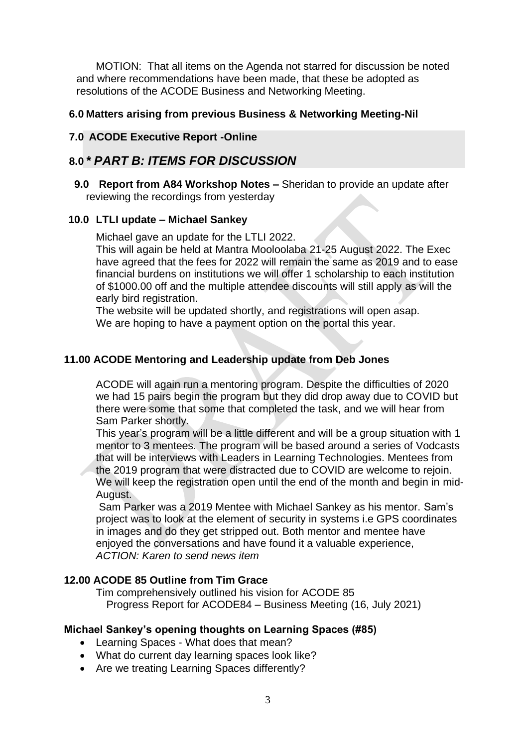MOTION: That all items on the Agenda not starred for discussion be noted and where recommendations have been made, that these be adopted as resolutions of the ACODE Business and Networking Meeting.

#### **6.0 Matters arising from previous Business & Networking Meeting-Nil**

#### **7.0 ACODE Executive Report -Online**

# **8.0** *\* PART B: ITEMS FOR DISCUSSION*

**9.0 Report from A84 Workshop Notes –** Sheridan to provide an update after reviewing the recordings from yesterday

#### **10.0 LTLI update – Michael Sankey**

Michael gave an update for the LTLI 2022.

This will again be held at Mantra Mooloolaba 21-25 August 2022. The Exec have agreed that the fees for 2022 will remain the same as 2019 and to ease financial burdens on institutions we will offer 1 scholarship to each institution of \$1000.00 off and the multiple attendee discounts will still apply as will the early bird registration.

The website will be updated shortly, and registrations will open asap. We are hoping to have a payment option on the portal this year.

#### **11.00 ACODE Mentoring and Leadership update from Deb Jones**

ACODE will again run a mentoring program. Despite the difficulties of 2020 we had 15 pairs begin the program but they did drop away due to COVID but there were some that some that completed the task, and we will hear from Sam Parker shortly.

This year's program will be a little different and will be a group situation with 1 mentor to 3 mentees. The program will be based around a series of Vodcasts that will be interviews with Leaders in Learning Technologies. Mentees from the 2019 program that were distracted due to COVID are welcome to rejoin. We will keep the registration open until the end of the month and begin in mid-August.

Sam Parker was a 2019 Mentee with Michael Sankey as his mentor. Sam's project was to look at the element of security in systems i.e GPS coordinates in images and do they get stripped out. Both mentor and mentee have enjoyed the conversations and have found it a valuable experience, *ACTION: Karen to send news item*

#### **12.00 ACODE 85 Outline from Tim Grace**

Tim comprehensively outlined his vision for ACODE 85 Progress Report for ACODE84 – Business Meeting (16, July 2021)

#### **Michael Sankey's opening thoughts on Learning Spaces (#85)**

- Learning Spaces What does that mean?
- What do current day learning spaces look like?
- Are we treating Learning Spaces differently?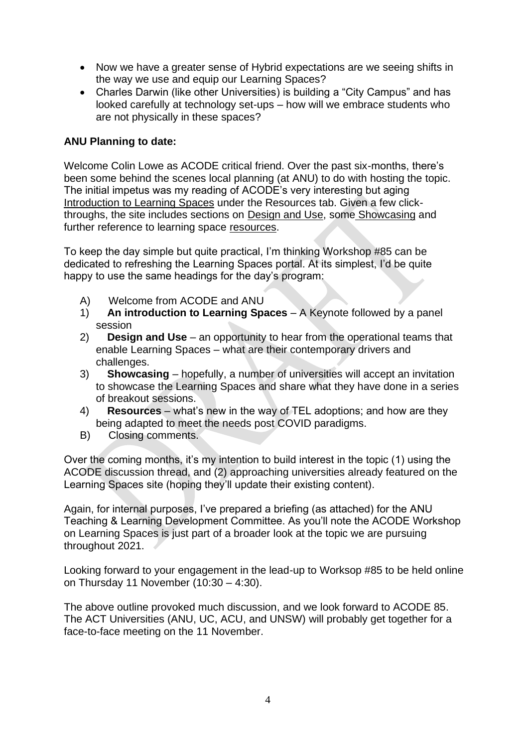- Now we have a greater sense of Hybrid expectations are we seeing shifts in the way we use and equip our Learning Spaces?
- Charles Darwin (like other Universities) is building a "City Campus" and has looked carefully at technology set-ups – how will we embrace students who are not physically in these spaces?

#### **ANU Planning to date:**

Welcome Colin Lowe as ACODE critical friend. Over the past six-months, there's been some behind the scenes local planning (at ANU) to do with hosting the topic. The initial impetus was my reading of ACODE's very interesting but aging [Introduction to Learning](https://protect-au.mimecast.com/s/mZMlCP7LAXfK526X9izCVFb?domain=acode.edu.au) Spaces under the Resources tab. Given a few clickthroughs, the site includes sections on [Design and Use,](https://protect-au.mimecast.com/s/VymNCQnMBZfkNKRPgfPTLcz?domain=acode.edu.au) some [Showcasing](https://protect-au.mimecast.com/s/Hby_CROND2uvgpOWotPYs49?domain=acode.edu.au) and further reference to learning space [resources.](https://protect-au.mimecast.com/s/EKcFCVARKgCxPEZymsJeKd0?domain=acode.edu.au)

To keep the day simple but quite practical, I'm thinking Workshop #85 can be dedicated to refreshing the Learning Spaces portal. At its simplest, I'd be quite happy to use the same headings for the day's program:

- A) Welcome from ACODE and ANU
- 1) **An introduction to Learning Spaces** A Keynote followed by a panel session
- 2) **Design and Use** an opportunity to hear from the operational teams that enable Learning Spaces – what are their contemporary drivers and challenges.
- 3) **Showcasing** hopefully, a number of universities will accept an invitation to showcase the Learning Spaces and share what they have done in a series of breakout sessions.
- 4) **Resources**  what's new in the way of TEL adoptions; and how are they being adapted to meet the needs post COVID paradigms.
- B) Closing comments.

Over the coming months, it's my intention to build interest in the topic (1) using the ACODE discussion thread, and (2) approaching universities already featured on the Learning Spaces site (hoping they'll update their existing content).

Again, for internal purposes, I've prepared a briefing (as attached) for the ANU Teaching & Learning Development Committee. As you'll note the ACODE Workshop on Learning Spaces is just part of a broader look at the topic we are pursuing throughout 2021.

Looking forward to your engagement in the lead-up to Worksop #85 to be held online on Thursday 11 November (10:30 – 4:30).

The above outline provoked much discussion, and we look forward to ACODE 85. The ACT Universities (ANU, UC, ACU, and UNSW) will probably get together for a face-to-face meeting on the 11 November.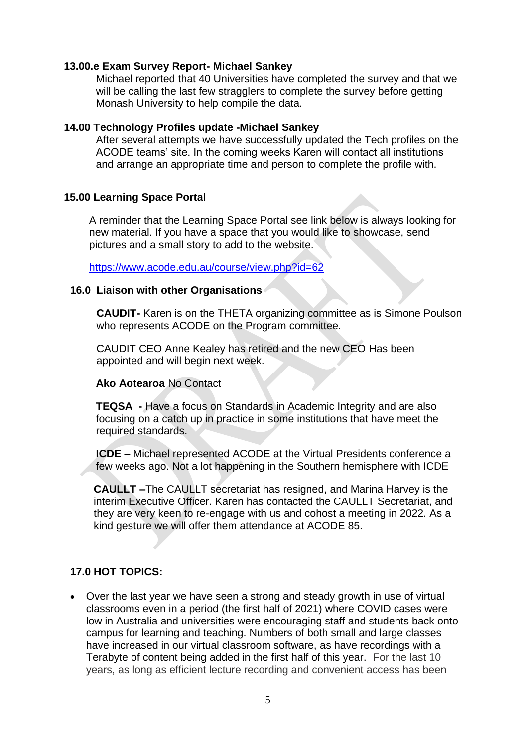#### **13.00.e Exam Survey Report- Michael Sankey**

Michael reported that 40 Universities have completed the survey and that we will be calling the last few stragglers to complete the survey before getting Monash University to help compile the data.

#### **14.00 Technology Profiles update -Michael Sankey**

After several attempts we have successfully updated the Tech profiles on the ACODE teams' site. In the coming weeks Karen will contact all institutions and arrange an appropriate time and person to complete the profile with.

#### **15.00 Learning Space Portal**

A reminder that the Learning Space Portal see link below is always looking for new material. If you have a space that you would like to showcase, send pictures and a small story to add to the website.

<https://www.acode.edu.au/course/view.php?id=62>

#### **16.0 Liaison with other Organisations**

**CAUDIT-** Karen is on the THETA organizing committee as is Simone Poulson who represents ACODE on the Program committee.

CAUDIT CEO Anne Kealey has retired and the new CEO Has been appointed and will begin next week.

#### **Ako Aotearoa** No Contact

**TEQSA -** Have a focus on Standards in Academic Integrity and are also focusing on a catch up in practice in some institutions that have meet the required standards.

**ICDE –** Michael represented ACODE at the Virtual Presidents conference a few weeks ago. Not a lot happening in the Southern hemisphere with ICDE

**CAULLT –**The CAULLT secretariat has resigned, and Marina Harvey is the interim Executive Officer. Karen has contacted the CAULLT Secretariat, and they are very keen to re-engage with us and cohost a meeting in 2022. As a kind gesture we will offer them attendance at ACODE 85.

### **17.0 HOT TOPICS:**

• Over the last year we have seen a strong and steady growth in use of virtual classrooms even in a period (the first half of 2021) where COVID cases were low in Australia and universities were encouraging staff and students back onto campus for learning and teaching. Numbers of both small and large classes have increased in our virtual classroom software, as have recordings with a Terabyte of content being added in the first half of this year. For the last 10 years, as long as efficient lecture recording and convenient access has been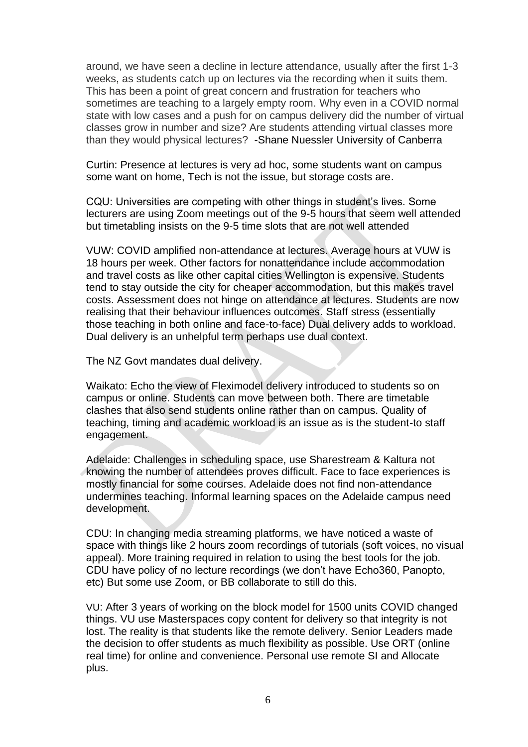around, we have seen a decline in lecture attendance, usually after the first 1-3 weeks, as students catch up on lectures via the recording when it suits them. This has been a point of great concern and frustration for teachers who sometimes are teaching to a largely empty room. Why even in a COVID normal state with low cases and a push for on campus delivery did the number of virtual classes grow in number and size? Are students attending virtual classes more than they would physical lectures? -Shane Nuessler University of Canberra

Curtin: Presence at lectures is very ad hoc, some students want on campus some want on home, Tech is not the issue, but storage costs are.

CQU: Universities are competing with other things in student's lives. Some lecturers are using Zoom meetings out of the 9-5 hours that seem well attended but timetabling insists on the 9-5 time slots that are not well attended

VUW: COVID amplified non-attendance at lectures. Average hours at VUW is 18 hours per week. Other factors for nonattendance include accommodation and travel costs as like other capital cities Wellington is expensive. Students tend to stay outside the city for cheaper accommodation, but this makes travel costs. Assessment does not hinge on attendance at lectures. Students are now realising that their behaviour influences outcomes. Staff stress (essentially those teaching in both online and face-to-face) Dual delivery adds to workload. Dual delivery is an unhelpful term perhaps use dual context.

The NZ Govt mandates dual delivery.

Waikato: Echo the view of Fleximodel delivery introduced to students so on campus or online. Students can move between both. There are timetable clashes that also send students online rather than on campus. Quality of teaching, timing and academic workload is an issue as is the student-to staff engagement.

Adelaide: Challenges in scheduling space, use Sharestream & Kaltura not knowing the number of attendees proves difficult. Face to face experiences is mostly financial for some courses. Adelaide does not find non-attendance undermines teaching. Informal learning spaces on the Adelaide campus need development.

CDU: In changing media streaming platforms, we have noticed a waste of space with things like 2 hours zoom recordings of tutorials (soft voices, no visual appeal). More training required in relation to using the best tools for the job. CDU have policy of no lecture recordings (we don't have Echo360, Panopto, etc) But some use Zoom, or BB collaborate to still do this.

VU: After 3 years of working on the block model for 1500 units COVID changed things. VU use Masterspaces copy content for delivery so that integrity is not lost. The reality is that students like the remote delivery. Senior Leaders made the decision to offer students as much flexibility as possible. Use ORT (online real time) for online and convenience. Personal use remote SI and Allocate plus.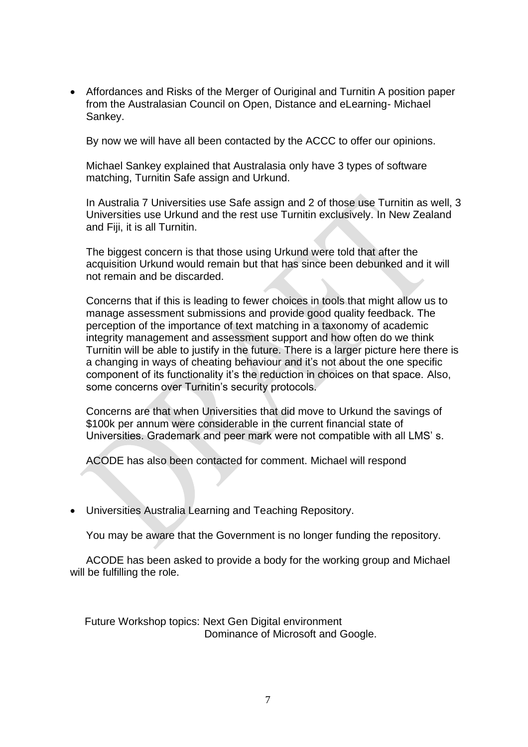• Affordances and Risks of the Merger of Ouriginal and Turnitin A position paper from the Australasian Council on Open, Distance and eLearning- Michael Sankey.

By now we will have all been contacted by the ACCC to offer our opinions.

Michael Sankey explained that Australasia only have 3 types of software matching, Turnitin Safe assign and Urkund.

In Australia 7 Universities use Safe assign and 2 of those use Turnitin as well, 3 Universities use Urkund and the rest use Turnitin exclusively. In New Zealand and Fiji, it is all Turnitin.

The biggest concern is that those using Urkund were told that after the acquisition Urkund would remain but that has since been debunked and it will not remain and be discarded.

Concerns that if this is leading to fewer choices in tools that might allow us to manage assessment submissions and provide good quality feedback. The perception of the importance of text matching in a taxonomy of academic integrity management and assessment support and how often do we think Turnitin will be able to justify in the future. There is a larger picture here there is a changing in ways of cheating behaviour and it's not about the one specific component of its functionality it's the reduction in choices on that space. Also, some concerns over Turnitin's security protocols.

Concerns are that when Universities that did move to Urkund the savings of \$100k per annum were considerable in the current financial state of Universities. Grademark and peer mark were not compatible with all LMS' s.

ACODE has also been contacted for comment. Michael will respond

• Universities Australia Learning and Teaching Repository.

You may be aware that the Government is no longer funding the repository.

ACODE has been asked to provide a body for the working group and Michael will be fulfilling the role.

 Future Workshop topics: Next Gen Digital environment Dominance of Microsoft and Google.